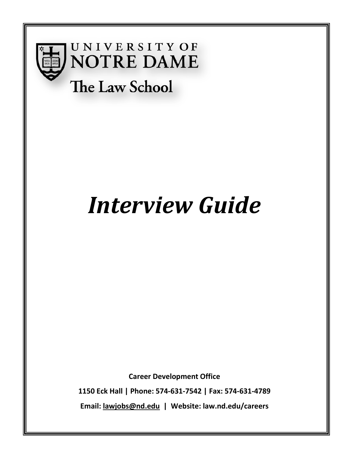

# **UNIVERSITY OF NOTRE DAME**

# The Law School

# *Interview Guide*

**Career Development Office**

**1150 Eck Hall | Phone: 574-631-7542 | Fax: 574-631-4789 Email: [lawjobs@nd.edu](mailto:lawjobs@nd.edu) | Website: law.nd.edu/careers**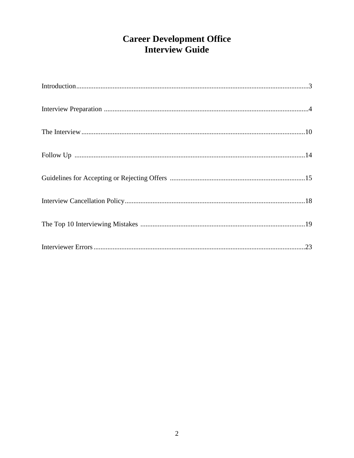# **Career Development Office<br>Interview Guide**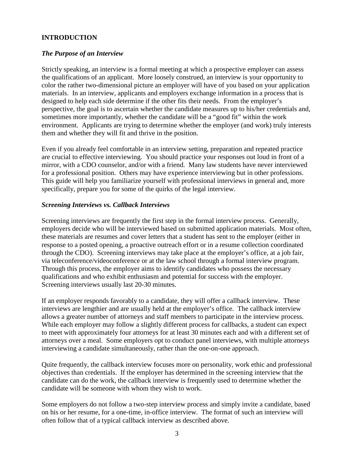#### **INTRODUCTION**

#### *The Purpose of an Interview*

Strictly speaking, an interview is a formal meeting at which a prospective employer can assess the qualifications of an applicant. More loosely construed, an interview is your opportunity to color the rather two-dimensional picture an employer will have of you based on your application materials. In an interview, applicants and employers exchange information in a process that is designed to help each side determine if the other fits their needs. From the employer's perspective, the goal is to ascertain whether the candidate measures up to his/her credentials and, sometimes more importantly, whether the candidate will be a "good fit" within the work environment. Applicants are trying to determine whether the employer (and work) truly interests them and whether they will fit and thrive in the position.

Even if you already feel comfortable in an interview setting, preparation and repeated practice are crucial to effective interviewing. You should practice your responses out loud in front of a mirror, with a CDO counselor, and/or with a friend. Many law students have never interviewed for a professional position. Others may have experience interviewing but in other professions. This guide will help you familiarize yourself with professional interviews in general and, more specifically, prepare you for some of the quirks of the legal interview.

#### *Screening Interviews vs. Callback Interviews*

Screening interviews are frequently the first step in the formal interview process. Generally, employers decide who will be interviewed based on submitted application materials. Most often, these materials are resumes and cover letters that a student has sent to the employer (either in response to a posted opening, a proactive outreach effort or in a resume collection coordinated through the CDO). Screening interviews may take place at the employer's office, at a job fair, via teleconference/videoconference or at the law school through a formal interview program. Through this process, the employer aims to identify candidates who possess the necessary qualifications and who exhibit enthusiasm and potential for success with the employer. Screening interviews usually last 20-30 minutes.

If an employer responds favorably to a candidate, they will offer a callback interview. These interviews are lengthier and are usually held at the employer's office. The callback interview allows a greater number of attorneys and staff members to participate in the interview process. While each employer may follow a slightly different process for callbacks, a student can expect to meet with approximately four attorneys for at least 30 minutes each and with a different set of attorneys over a meal. Some employers opt to conduct panel interviews, with multiple attorneys interviewing a candidate simultaneously, rather than the one-on-one approach.

Quite frequently, the callback interview focuses more on personality, work ethic and professional objectives than credentials. If the employer has determined in the screening interview that the candidate can do the work, the callback interview is frequently used to determine whether the candidate will be someone with whom they wish to work.

Some employers do not follow a two-step interview process and simply invite a candidate, based on his or her resume, for a one-time, in-office interview. The format of such an interview will often follow that of a typical callback interview as described above.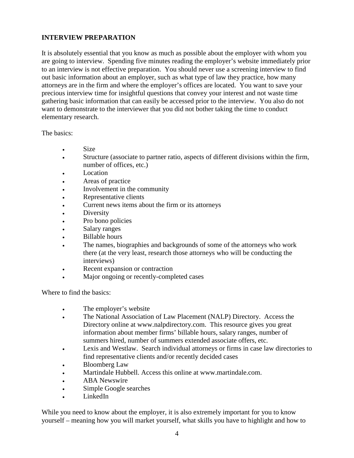# **INTERVIEW PREPARATION**

It is absolutely essential that you know as much as possible about the employer with whom you are going to interview. Spending five minutes reading the employer's website immediately prior to an interview is not effective preparation. You should never use a screening interview to find out basic information about an employer, such as what type of law they practice, how many attorneys are in the firm and where the employer's offices are located. You want to save your precious interview time for insightful questions that convey your interest and not waste time gathering basic information that can easily be accessed prior to the interview. You also do not want to demonstrate to the interviewer that you did not bother taking the time to conduct elementary research.

The basics:

- Size
- Structure (associate to partner ratio, aspects of different divisions within the firm, number of offices, etc.)
- Location
- Areas of practice
- Involvement in the community
- Representative clients
- Current news items about the firm or its attorneys
- **Diversity**
- Pro bono policies
- Salary ranges
- Billable hours
- The names, biographies and backgrounds of some of the attorneys who work there (at the very least, research those attorneys who will be conducting the interviews)
- Recent expansion or contraction
- Major ongoing or recently-completed cases

Where to find the basics:

- The employer's website
- The National Association of Law Placement (NALP) Directory. Access the Directory online at www.nalpdirectory.com. This resource gives you great information about member firms' billable hours, salary ranges, number of summers hired, number of summers extended associate offers, etc.
- Lexis and Westlaw. Search individual attorneys or firms in case law directories to find representative clients and/or recently decided cases
- Bloomberg Law
- Martindale Hubbell. Access this online at www.martindale.com.
- ABA Newswire
- Simple Google searches
- LinkedIn

While you need to know about the employer, it is also extremely important for you to know yourself – meaning how you will market yourself, what skills you have to highlight and how to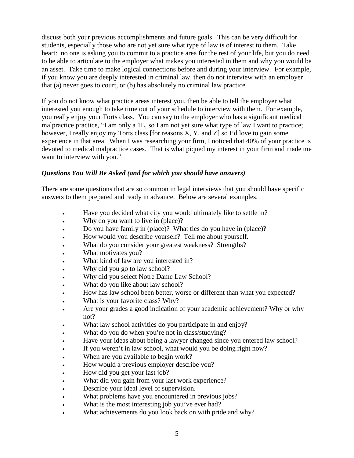discuss both your previous accomplishments and future goals. This can be very difficult for students, especially those who are not yet sure what type of law is of interest to them. Take heart: no one is asking you to commit to a practice area for the rest of your life, but you do need to be able to articulate to the employer what makes you interested in them and why you would be an asset. Take time to make logical connections before and during your interview. For example, if you know you are deeply interested in criminal law, then do not interview with an employer that (a) never goes to court, or (b) has absolutely no criminal law practice.

If you do not know what practice areas interest you, then be able to tell the employer what interested you enough to take time out of your schedule to interview with them. For example, you really enjoy your Torts class. You can say to the employer who has a significant medical malpractice practice, "I am only a 1L, so I am not yet sure what type of law I want to practice; however, I really enjoy my Torts class [for reasons X, Y, and Z] so I'd love to gain some experience in that area. When I was researching your firm, I noticed that 40% of your practice is devoted to medical malpractice cases. That is what piqued my interest in your firm and made me want to interview with you."

# *Questions You Will Be Asked (and for which you should have answers)*

There are some questions that are so common in legal interviews that you should have specific answers to them prepared and ready in advance. Below are several examples.

- Have you decided what city you would ultimately like to settle in?
- Why do you want to live in (place)?
- Do you have family in (place)? What ties do you have in (place)?
- How would you describe yourself? Tell me about yourself.
- What do you consider your greatest weakness? Strengths?
- What motivates you?
- What kind of law are you interested in?
- Why did you go to law school?
- Why did you select Notre Dame Law School?
- What do you like about law school?
- How has law school been better, worse or different than what you expected?
- What is your favorite class? Why?
- Are your grades a good indication of your academic achievement? Why or why not?
- What law school activities do you participate in and enjoy?
- What do you do when you're not in class/studying?
- Have your ideas about being a lawyer changed since you entered law school?
- If you weren't in law school, what would you be doing right now?
- When are you available to begin work?
- How would a previous employer describe you?
- How did you get your last job?
- What did you gain from your last work experience?
- Describe your ideal level of supervision.
- What problems have you encountered in previous jobs?
- What is the most interesting job you've ever had?
- What achievements do you look back on with pride and why?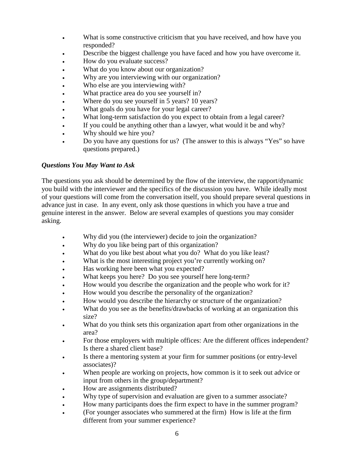- What is some constructive criticism that you have received, and how have you responded?
- Describe the biggest challenge you have faced and how you have overcome it.
- How do you evaluate success?
- What do you know about our organization?
- Why are you interviewing with our organization?
- Who else are you interviewing with?
- What practice area do you see yourself in?
- Where do you see yourself in 5 years? 10 years?
- What goals do you have for your legal career?
- What long-term satisfaction do you expect to obtain from a legal career?
- If you could be anything other than a lawyer, what would it be and why?
- Why should we hire you?
- Do you have any questions for us? (The answer to this is always "Yes" so have questions prepared.)

# *Questions You May Want to Ask*

The questions you ask should be determined by the flow of the interview, the rapport/dynamic you build with the interviewer and the specifics of the discussion you have. While ideally most of your questions will come from the conversation itself, you should prepare several questions in advance just in case. In any event, only ask those questions in which you have a true and genuine interest in the answer. Below are several examples of questions you may consider asking.

- Why did you (the interviewer) decide to join the organization?
- Why do you like being part of this organization?
- What do you like best about what you do? What do you like least?
- What is the most interesting project you're currently working on?
- Has working here been what you expected?
- What keeps you here? Do you see yourself here long-term?
- How would you describe the organization and the people who work for it?
- How would you describe the personality of the organization?
- How would you describe the hierarchy or structure of the organization?
- What do you see as the benefits/drawbacks of working at an organization this size?
- What do you think sets this organization apart from other organizations in the area?
- For those employers with multiple offices: Are the different offices independent? Is there a shared client base?
- Is there a mentoring system at your firm for summer positions (or entry-level) associates)?
- When people are working on projects, how common is it to seek out advice or input from others in the group/department?
- How are assignments distributed?
- Why type of supervision and evaluation are given to a summer associate?
- How many participants does the firm expect to have in the summer program?
- (For younger associates who summered at the firm) How is life at the firm different from your summer experience?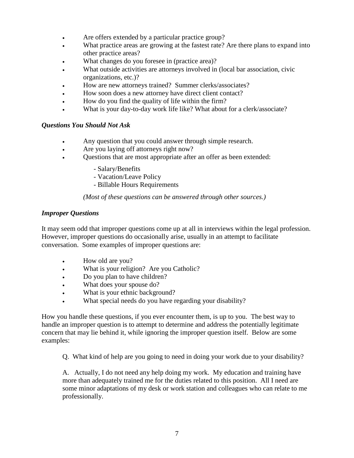- Are offers extended by a particular practice group?
- What practice areas are growing at the fastest rate? Are there plans to expand into other practice areas?
- What changes do you foresee in (practice area)?
- What outside activities are attorneys involved in (local bar association, civic organizations, etc.)?
- How are new attorneys trained? Summer clerks/associates?
- How soon does a new attorney have direct client contact?
- How do you find the quality of life within the firm?
- What is your day-to-day work life like? What about for a clerk/associate?

#### *Questions You Should Not Ask*

- Any question that you could answer through simple research.
- Are you laying off attorneys right now?
- Questions that are most appropriate after an offer as been extended:
	- Salary/Benefits
	- Vacation/Leave Policy
	- Billable Hours Requirements

#### *(Most of these questions can be answered through other sources.)*

#### *Improper Questions*

It may seem odd that improper questions come up at all in interviews within the legal profession. However, improper questions do occasionally arise, usually in an attempt to facilitate conversation. Some examples of improper questions are:

- How old are you?
- What is your religion? Are you Catholic?
- Do you plan to have children?
- What does your spouse do?
- What is your ethnic background?
- What special needs do you have regarding your disability?

How you handle these questions, if you ever encounter them, is up to you. The best way to handle an improper question is to attempt to determine and address the potentially legitimate concern that may lie behind it, while ignoring the improper question itself. Below are some examples:

Q. What kind of help are you going to need in doing your work due to your disability?

A. Actually, I do not need any help doing my work. My education and training have more than adequately trained me for the duties related to this position. All I need are some minor adaptations of my desk or work station and colleagues who can relate to me professionally.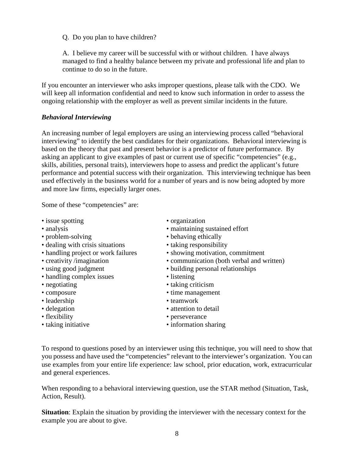Q. Do you plan to have children?

A. I believe my career will be successful with or without children. I have always managed to find a healthy balance between my private and professional life and plan to continue to do so in the future.

If you encounter an interviewer who asks improper questions, please talk with the CDO. We will keep all information confidential and need to know such information in order to assess the ongoing relationship with the employer as well as prevent similar incidents in the future.

#### *Behavioral Interviewing*

An increasing number of legal employers are using an interviewing process called "behavioral interviewing" to identify the best candidates for their organizations. Behavioral interviewing is based on the theory that past and present behavior is a predictor of future performance. By asking an applicant to give examples of past or current use of specific "competencies" (e.g., skills, abilities, personal traits), interviewers hope to assess and predict the applicant's future performance and potential success with their organization. This interviewing technique has been used effectively in the business world for a number of years and is now being adopted by more and more law firms, especially larger ones.

Some of these "competencies" are:

- issue spotting organization
- 
- 
- dealing with crisis situations taking responsibility
- 
- 
- 
- handling complex issues listening
- 
- 
- leadership teamwork
- 
- 
- 
- 
- analysis maintaining sustained effort<br>• problem-solving behaving ethically
	- behaving ethically
	-
- handling project or work failures showing motivation, commitment
- creativity /imagination communication (both verbal and written)<br>• using good judgment building personal relationships
	- building personal relationships
	-
- negotiating taking criticism
- composure time management
	-
- delegation attention to detail
- flexibility perseverance
- taking initiative information sharing

To respond to questions posed by an interviewer using this technique, you will need to show that you possess and have used the "competencies" relevant to the interviewer's organization. You can use examples from your entire life experience: law school, prior education, work, extracurricular and general experiences.

When responding to a behavioral interviewing question, use the STAR method (Situation, Task, Action, Result).

**Situation**: Explain the situation by providing the interviewer with the necessary context for the example you are about to give.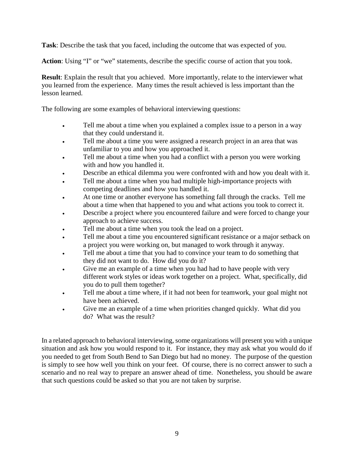**Task**: Describe the task that you faced, including the outcome that was expected of you.

Action: Using "I" or "we" statements, describe the specific course of action that you took.

**Result**: Explain the result that you achieved. More importantly, relate to the interviewer what you learned from the experience. Many times the result achieved is less important than the lesson learned.

The following are some examples of behavioral interviewing questions:

- Tell me about a time when you explained a complex issue to a person in a way that they could understand it.
- Tell me about a time you were assigned a research project in an area that was unfamiliar to you and how you approached it.
- Tell me about a time when you had a conflict with a person you were working with and how you handled it.
- Describe an ethical dilemma you were confronted with and how you dealt with it.
- Tell me about a time when you had multiple high-importance projects with competing deadlines and how you handled it.
- At one time or another everyone has something fall through the cracks. Tell me about a time when that happened to you and what actions you took to correct it.
- Describe a project where you encountered failure and were forced to change your approach to achieve success.
- Tell me about a time when you took the lead on a project.
- Tell me about a time you encountered significant resistance or a major setback on a project you were working on, but managed to work through it anyway.
- Tell me about a time that you had to convince your team to do something that they did not want to do. How did you do it?
- Give me an example of a time when you had had to have people with very different work styles or ideas work together on a project. What, specifically, did you do to pull them together?
- Tell me about a time where, if it had not been for teamwork, your goal might not have been achieved.
- Give me an example of a time when priorities changed quickly. What did you do? What was the result?

In a related approach to behavioral interviewing, some organizations will present you with a unique situation and ask how you would respond to it. For instance, they may ask what you would do if you needed to get from South Bend to San Diego but had no money. The purpose of the question is simply to see how well you think on your feet. Of course, there is no correct answer to such a scenario and no real way to prepare an answer ahead of time. Nonetheless, you should be aware that such questions could be asked so that you are not taken by surprise.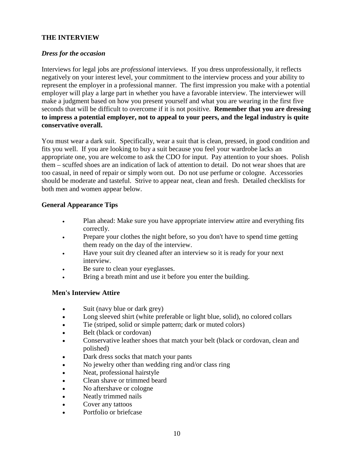#### **THE INTERVIEW**

#### *Dress for the occasion*

Interviews for legal jobs are *professional* interviews. If you dress unprofessionally, it reflects negatively on your interest level, your commitment to the interview process and your ability to represent the employer in a professional manner. The first impression you make with a potential employer will play a large part in whether you have a favorable interview. The interviewer will make a judgment based on how you present yourself and what you are wearing in the first five seconds that will be difficult to overcome if it is not positive. **Remember that you are dressing to impress a potential employer, not to appeal to your peers, and the legal industry is quite conservative overall.**

You must wear a dark suit. Specifically, wear a suit that is clean, pressed, in good condition and fits you well. If you are looking to buy a suit because you feel your wardrobe lacks an appropriate one, you are welcome to ask the CDO for input. Pay attention to your shoes. Polish them – scuffed shoes are an indication of lack of attention to detail. Do not wear shoes that are too casual, in need of repair or simply worn out. Do not use perfume or cologne. Accessories should be moderate and tasteful. Strive to appear neat, clean and fresh. Detailed checklists for both men and women appear below.

#### **General Appearance Tips**

- Plan ahead: Make sure you have appropriate interview attire and everything fits correctly.
- Prepare your clothes the night before, so you don't have to spend time getting them ready on the day of the interview.
- Have your suit dry cleaned after an interview so it is ready for your next interview.
- Be sure to clean your eyeglasses.
- Bring a breath mint and use it before you enter the building.

#### **Men's Interview Attire**

- Suit (navy blue or dark grey)
- Long sleeved shirt (white preferable or light blue, solid), no colored collars
- Tie (striped, solid or simple pattern; dark or muted colors)
- Belt (black or cordovan)
- Conservative leather shoes that match your belt (black or cordovan, clean and polished)
- Dark dress socks that match your pants
- No jewelry other than wedding ring and/or class ring
- Neat, professional hairstyle
- Clean shave or trimmed beard
- No aftershave or cologne
- Neatly trimmed nails
- Cover any tattoos
- Portfolio or briefcase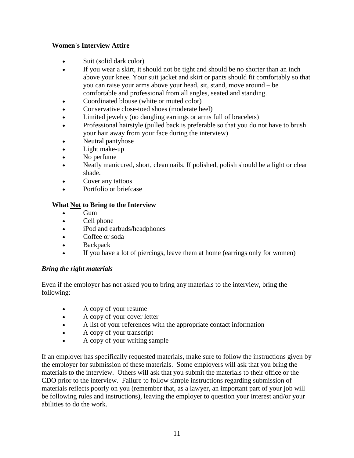#### **Women's Interview Attire**

- Suit (solid dark color)
- If you wear a skirt, it should not be tight and should be no shorter than an inch above your knee. Your suit jacket and skirt or pants should fit comfortably so that you can raise your arms above your head, sit, stand, move around – be comfortable and professional from all angles, seated and standing.
- Coordinated blouse (white or muted color)
- Conservative close-toed shoes (moderate heel)
- Limited jewelry (no dangling earrings or arms full of bracelets)
- Professional hairstyle (pulled back is preferable so that you do not have to brush your hair away from your face during the interview)
- Neutral pantyhose
- Light make-up
- No perfume
- Neatly manicured, short, clean nails. If polished, polish should be a light or clear shade.
- Cover any tattoos
- Portfolio or briefcase

# **What Not to Bring to the Interview**

- Gum
- Cell phone
- iPod and earbuds/headphones
- Coffee or soda
- Backpack
- If you have a lot of piercings, leave them at home (earrings only for women)

#### *Bring the right materials*

Even if the employer has not asked you to bring any materials to the interview, bring the following:

- A copy of your resume
- A copy of your cover letter
- A list of your references with the appropriate contact information
- A copy of your transcript
- A copy of your writing sample

If an employer has specifically requested materials, make sure to follow the instructions given by the employer for submission of these materials. Some employers will ask that you bring the materials to the interview. Others will ask that you submit the materials to their office or the CDO prior to the interview. Failure to follow simple instructions regarding submission of materials reflects poorly on you (remember that, as a lawyer, an important part of your job will be following rules and instructions), leaving the employer to question your interest and/or your abilities to do the work.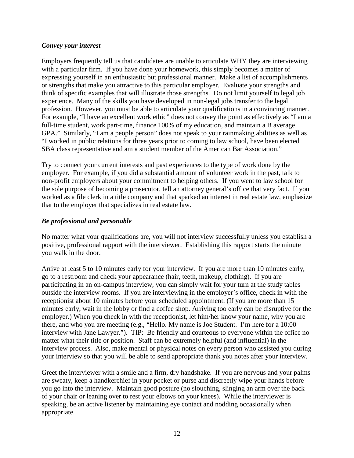#### *Convey your interest*

Employers frequently tell us that candidates are unable to articulate WHY they are interviewing with a particular firm. If you have done your homework, this simply becomes a matter of expressing yourself in an enthusiastic but professional manner. Make a list of accomplishments or strengths that make you attractive to this particular employer. Evaluate your strengths and think of specific examples that will illustrate those strengths. Do not limit yourself to legal job experience. Many of the skills you have developed in non-legal jobs transfer to the legal profession. However, you must be able to articulate your qualifications in a convincing manner. For example, "I have an excellent work ethic" does not convey the point as effectively as "I am a full-time student, work part-time, finance 100% of my education, and maintain a B average GPA." Similarly, "I am a people person" does not speak to your rainmaking abilities as well as "I worked in public relations for three years prior to coming to law school, have been elected SBA class representative and am a student member of the American Bar Association."

Try to connect your current interests and past experiences to the type of work done by the employer. For example, if you did a substantial amount of volunteer work in the past, talk to non-profit employers about your commitment to helping others. If you went to law school for the sole purpose of becoming a prosecutor, tell an attorney general's office that very fact. If you worked as a file clerk in a title company and that sparked an interest in real estate law, emphasize that to the employer that specializes in real estate law.

#### *Be professional and personable*

No matter what your qualifications are, you will not interview successfully unless you establish a positive, professional rapport with the interviewer. Establishing this rapport starts the minute you walk in the door.

Arrive at least 5 to 10 minutes early for your interview. If you are more than 10 minutes early, go to a restroom and check your appearance (hair, teeth, makeup, clothing). If you are participating in an on-campus interview, you can simply wait for your turn at the study tables outside the interview rooms. If you are interviewing in the employer's office, check in with the receptionist about 10 minutes before your scheduled appointment. (If you are more than 15 minutes early, wait in the lobby or find a coffee shop. Arriving too early can be disruptive for the employer.) When you check in with the receptionist, let him/her know your name, why you are there, and who you are meeting (e.g., "Hello. My name is Joe Student. I'm here for a 10:00 interview with Jane Lawyer."). TIP: Be friendly and courteous to everyone within the office no matter what their title or position. Staff can be extremely helpful (and influential) in the interview process. Also, make mental or physical notes on every person who assisted you during your interview so that you will be able to send appropriate thank you notes after your interview.

Greet the interviewer with a smile and a firm, dry handshake. If you are nervous and your palms are sweaty, keep a handkerchief in your pocket or purse and discreetly wipe your hands before you go into the interview. Maintain good posture (no slouching, slinging an arm over the back of your chair or leaning over to rest your elbows on your knees). While the interviewer is speaking, be an active listener by maintaining eye contact and nodding occasionally when appropriate.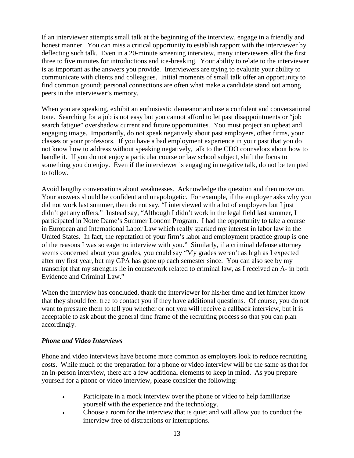If an interviewer attempts small talk at the beginning of the interview, engage in a friendly and honest manner. You can miss a critical opportunity to establish rapport with the interviewer by deflecting such talk. Even in a 20-minute screening interview, many interviewers allot the first three to five minutes for introductions and ice-breaking. Your ability to relate to the interviewer is as important as the answers you provide. Interviewers are trying to evaluate your ability to communicate with clients and colleagues. Initial moments of small talk offer an opportunity to find common ground; personal connections are often what make a candidate stand out among peers in the interviewer's memory.

When you are speaking, exhibit an enthusiastic demeanor and use a confident and conversational tone. Searching for a job is not easy but you cannot afford to let past disappointments or "job search fatigue" overshadow current and future opportunities. You must project an upbeat and engaging image. Importantly, do not speak negatively about past employers, other firms, your classes or your professors. If you have a bad employment experience in your past that you do not know how to address without speaking negatively, talk to the CDO counselors about how to handle it. If you do not enjoy a particular course or law school subject, shift the focus to something you do enjoy. Even if the interviewer is engaging in negative talk, do not be tempted to follow.

Avoid lengthy conversations about weaknesses. Acknowledge the question and then move on. Your answers should be confident and unapologetic. For example, if the employer asks why you did not work last summer, then do not say, "I interviewed with a lot of employers but I just didn't get any offers." Instead say, "Although I didn't work in the legal field last summer, I participated in Notre Dame's Summer London Program. I had the opportunity to take a course in European and International Labor Law which really sparked my interest in labor law in the United States. In fact, the reputation of your firm's labor and employment practice group is one of the reasons I was so eager to interview with you." Similarly, if a criminal defense attorney seems concerned about your grades, you could say "My grades weren't as high as I expected after my first year, but my GPA has gone up each semester since. You can also see by my transcript that my strengths lie in coursework related to criminal law, as I received an A- in both Evidence and Criminal Law."

When the interview has concluded, thank the interviewer for his/her time and let him/her know that they should feel free to contact you if they have additional questions. Of course, you do not want to pressure them to tell you whether or not you will receive a callback interview, but it is acceptable to ask about the general time frame of the recruiting process so that you can plan accordingly.

#### *Phone and Video Interviews*

Phone and video interviews have become more common as employers look to reduce recruiting costs. While much of the preparation for a phone or video interview will be the same as that for an in-person interview, there are a few additional elements to keep in mind. As you prepare yourself for a phone or video interview, please consider the following:

- Participate in a mock interview over the phone or video to help familiarize yourself with the experience and the technology.
- Choose a room for the interview that is quiet and will allow you to conduct the interview free of distractions or interruptions.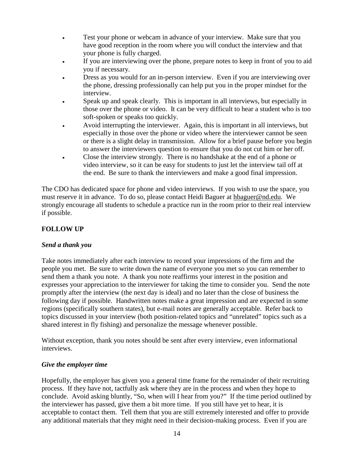- Test your phone or webcam in advance of your interview. Make sure that you have good reception in the room where you will conduct the interview and that your phone is fully charged.
- If you are interviewing over the phone, prepare notes to keep in front of you to aid you if necessary.
- Dress as you would for an in-person interview. Even if you are interviewing over the phone, dressing professionally can help put you in the proper mindset for the interview.
- Speak up and speak clearly. This is important in all interviews, but especially in those over the phone or video. It can be very difficult to hear a student who is too soft-spoken or speaks too quickly.
- Avoid interrupting the interviewer. Again, this is important in all interviews, but especially in those over the phone or video where the interviewer cannot be seen or there is a slight delay in transmission. Allow for a brief pause before you begin to answer the interviewers question to ensure that you do not cut him or her off.
- Close the interview strongly. There is no handshake at the end of a phone or video interview, so it can be easy for students to just let the interview tail off at the end. Be sure to thank the interviewers and make a good final impression.

The CDO has dedicated space for phone and video interviews. If you wish to use the space, you must reserve it in advance. To do so, please contact Heidi Baguer at hbaguer@nd.edu. We strongly encourage all students to schedule a practice run in the room prior to their real interview if possible.

# **FOLLOW UP**

# *Send a thank you*

Take notes immediately after each interview to record your impressions of the firm and the people you met. Be sure to write down the name of everyone you met so you can remember to send them a thank you note. A thank you note reaffirms your interest in the position and expresses your appreciation to the interviewer for taking the time to consider you. Send the note promptly after the interview (the next day is ideal) and no later than the close of business the following day if possible. Handwritten notes make a great impression and are expected in some regions (specifically southern states), but e-mail notes are generally acceptable. Refer back to topics discussed in your interview (both position-related topics and "unrelated" topics such as a shared interest in fly fishing) and personalize the message whenever possible.

Without exception, thank you notes should be sent after every interview, even informational interviews.

#### *Give the employer time*

Hopefully, the employer has given you a general time frame for the remainder of their recruiting process. If they have not, tactfully ask where they are in the process and when they hope to conclude. Avoid asking bluntly, "So, when will I hear from you?" If the time period outlined by the interviewer has passed, give them a bit more time. If you still have yet to hear, it is acceptable to contact them. Tell them that you are still extremely interested and offer to provide any additional materials that they might need in their decision-making process. Even if you are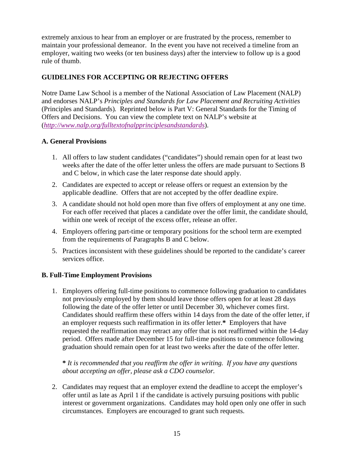extremely anxious to hear from an employer or are frustrated by the process, remember to maintain your professional demeanor. In the event you have not received a timeline from an employer, waiting two weeks (or ten business days) after the interview to follow up is a good rule of thumb.

# **GUIDELINES FOR ACCEPTING OR REJECTING OFFERS**

Notre Dame Law School is a member of the National Association of Law Placement (NALP) and endorses NALP's *Principles and Standards for Law Placement and Recruiting Activities* (Principles and Standards)*.* Reprinted below is Part V: General Standards for the Timing of Offers and Decisions. You can view the complete text on NALP's website at (*<http://www.nalp.org/fulltextofnalpprinciplesandstandards>*).

# **A. General Provisions**

- 1. All offers to law student candidates ("candidates") should remain open for at least two weeks after the date of the offer letter unless the offers are made pursuant to Sections B and C below, in which case the later response date should apply.
- 2. Candidates are expected to accept or release offers or request an extension by the applicable deadline. Offers that are not accepted by the offer deadline expire.
- 3. A candidate should not hold open more than five offers of employment at any one time. For each offer received that places a candidate over the offer limit, the candidate should, within one week of receipt of the excess offer, release an offer.
- 4. Employers offering part-time or temporary positions for the school term are exempted from the requirements of Paragraphs B and C below.
- 5. Practices inconsistent with these guidelines should be reported to the candidate's career services office.

#### **B. Full-Time Employment Provisions**

1. Employers offering full-time positions to commence following graduation to candidates not previously employed by them should leave those offers open for at least 28 days following the date of the offer letter or until December 30, whichever comes first. Candidates should reaffirm these offers within 14 days from the date of the offer letter, if an employer requests such reaffirmation in its offer letter.**\*** Employers that have requested the reaffirmation may retract any offer that is not reaffirmed within the 14-day period. Offers made after December 15 for full-time positions to commence following graduation should remain open for at least two weeks after the date of the offer letter.

#### **\*** *It is recommended that you reaffirm the offer in writing. If you have any questions about accepting an offer, please ask a CDO counselor.*

2. Candidates may request that an employer extend the deadline to accept the employer's offer until as late as April 1 if the candidate is actively pursuing positions with public interest or government organizations. Candidates may hold open only one offer in such circumstances. Employers are encouraged to grant such requests.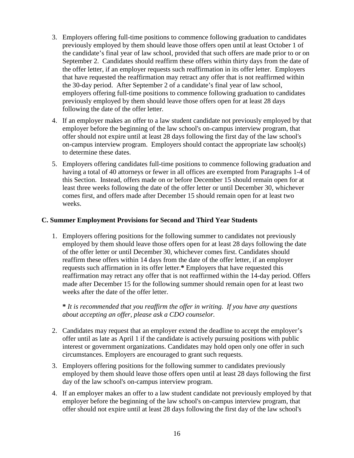- 3. Employers offering full-time positions to commence following graduation to candidates previously employed by them should leave those offers open until at least October 1 of the candidate's final year of law school, provided that such offers are made prior to or on September 2. Candidates should reaffirm these offers within thirty days from the date of the offer letter, if an employer requests such reaffirmation in its offer letter. Employers that have requested the reaffirmation may retract any offer that is not reaffirmed within the 30-day period. After September 2 of a candidate's final year of law school, employers offering full-time positions to commence following graduation to candidates previously employed by them should leave those offers open for at least 28 days following the date of the offer letter.
- 4. If an employer makes an offer to a law student candidate not previously employed by that employer before the beginning of the law school's on-campus interview program, that offer should not expire until at least 28 days following the first day of the law school's on-campus interview program. Employers should contact the appropriate law school(s) to determine these dates.
- 5. Employers offering candidates full-time positions to commence following graduation and having a total of 40 attorneys or fewer in all offices are exempted from Paragraphs 1-4 of this Section. Instead, offers made on or before December 15 should remain open for at least three weeks following the date of the offer letter or until December 30, whichever comes first, and offers made after December 15 should remain open for at least two weeks.

#### **C. Summer Employment Provisions for Second and Third Year Students**

1. Employers offering positions for the following summer to candidates not previously employed by them should leave those offers open for at least 28 days following the date of the offer letter or until December 30, whichever comes first. Candidates should reaffirm these offers within 14 days from the date of the offer letter, if an employer requests such affirmation in its offer letter.**\*** Employers that have requested this reaffirmation may retract any offer that is not reaffirmed within the 14-day period. Offers made after December 15 for the following summer should remain open for at least two weeks after the date of the offer letter.

**\*** *It is recommended that you reaffirm the offer in writing. If you have any questions about accepting an offer, please ask a CDO counselor.* 

- 2. Candidates may request that an employer extend the deadline to accept the employer's offer until as late as April 1 if the candidate is actively pursuing positions with public interest or government organizations. Candidates may hold open only one offer in such circumstances. Employers are encouraged to grant such requests.
- 3. Employers offering positions for the following summer to candidates previously employed by them should leave those offers open until at least 28 days following the first day of the law school's on-campus interview program.
- 4. If an employer makes an offer to a law student candidate not previously employed by that employer before the beginning of the law school's on-campus interview program, that offer should not expire until at least 28 days following the first day of the law school's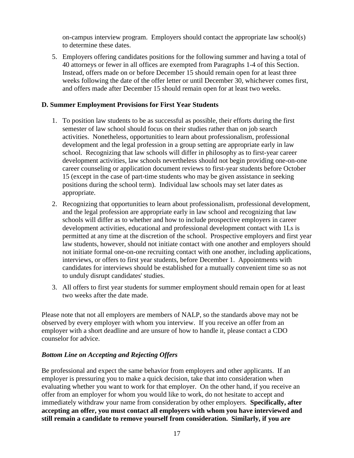on-campus interview program. Employers should contact the appropriate law school(s) to determine these dates.

5. Employers offering candidates positions for the following summer and having a total of 40 attorneys or fewer in all offices are exempted from Paragraphs 1-4 of this Section. Instead, offers made on or before December 15 should remain open for at least three weeks following the date of the offer letter or until December 30, whichever comes first, and offers made after December 15 should remain open for at least two weeks.

#### **D. Summer Employment Provisions for First Year Students**

- 1. To position law students to be as successful as possible, their efforts during the first semester of law school should focus on their studies rather than on job search activities. Nonetheless, opportunities to learn about professionalism, professional development and the legal profession in a group setting are appropriate early in law school. Recognizing that law schools will differ in philosophy as to first-year career development activities, law schools nevertheless should not begin providing one-on-one career counseling or application document reviews to first-year students before October 15 (except in the case of part-time students who may be given assistance in seeking positions during the school term). Individual law schools may set later dates as appropriate.
- 2. Recognizing that opportunities to learn about professionalism, professional development, and the legal profession are appropriate early in law school and recognizing that law schools will differ as to whether and how to include prospective employers in career development activities, educational and professional development contact with 1Ls is permitted at any time at the discretion of the school. Prospective employers and first year law students, however, should not initiate contact with one another and employers should not initiate formal one-on-one recruiting contact with one another, including applications, interviews, or offers to first year students, before December 1. Appointments with candidates for interviews should be established for a mutually convenient time so as not to unduly disrupt candidates' studies.
- 3. All offers to first year students for summer employment should remain open for at least two weeks after the date made.

Please note that not all employers are members of NALP, so the standards above may not be observed by every employer with whom you interview. If you receive an offer from an employer with a short deadline and are unsure of how to handle it, please contact a CDO counselor for advice.

#### *Bottom Line on Accepting and Rejecting Offers*

Be professional and expect the same behavior from employers and other applicants. If an employer is pressuring you to make a quick decision, take that into consideration when evaluating whether you want to work for that employer. On the other hand, if you receive an offer from an employer for whom you would like to work, do not hesitate to accept and immediately withdraw your name from consideration by other employers. **Specifically, after accepting an offer, you must contact all employers with whom you have interviewed and still remain a candidate to remove yourself from consideration. Similarly, if you are**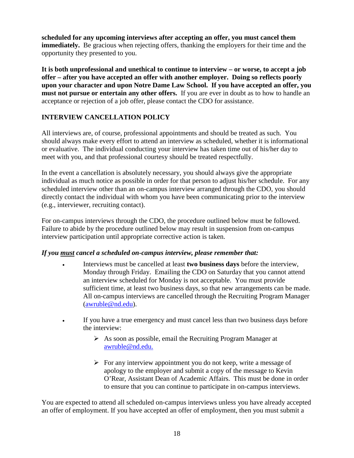**scheduled for any upcoming interviews after accepting an offer, you must cancel them immediately.** Be gracious when rejecting offers, thanking the employers for their time and the opportunity they presented to you.

**It is both unprofessional and unethical to continue to interview – or worse, to accept a job offer – after you have accepted an offer with another employer. Doing so reflects poorly upon your character and upon Notre Dame Law School. If you have accepted an offer, you must not pursue or entertain any other offers.** If you are ever in doubt as to how to handle an acceptance or rejection of a job offer, please contact the CDO for assistance.

# **INTERVIEW CANCELLATION POLICY**

All interviews are, of course, professional appointments and should be treated as such. You should always make every effort to attend an interview as scheduled, whether it is informational or evaluative. The individual conducting your interview has taken time out of his/her day to meet with you, and that professional courtesy should be treated respectfully.

In the event a cancellation is absolutely necessary, you should always give the appropriate individual as much notice as possible in order for that person to adjust his/her schedule. For any scheduled interview other than an on-campus interview arranged through the CDO, you should directly contact the individual with whom you have been communicating prior to the interview (e.g., interviewer, recruiting contact).

For on-campus interviews through the CDO, the procedure outlined below must be followed. Failure to abide by the procedure outlined below may result in suspension from on-campus interview participation until appropriate corrective action is taken.

#### *If you must cancel a scheduled on-campus interview, please remember that:*

- Interviews must be cancelled at least **two business days** before the interview, Monday through Friday. Emailing the CDO on Saturday that you cannot attend an interview scheduled for Monday is not acceptable. You must provide sufficient time, at least two business days, so that new arrangements can be made. All on-campus interviews are cancelled through the Recruiting Program Manager [\(awruble@nd.edu\)](mailto:awruble@nd.edu).
- If you have a true emergency and must cancel less than two business days before the interview:
	- $\triangleright$  As soon as possible, email the Recruiting Program Manager at [awruble@nd.edu.](mailto:awruble@nd.edu)
	- $\triangleright$  For any interview appointment you do not keep, write a message of apology to the employer and submit a copy of the message to Kevin O'Rear, Assistant Dean of Academic Affairs. This must be done in order to ensure that you can continue to participate in on-campus interviews.

You are expected to attend all scheduled on-campus interviews unless you have already accepted an offer of employment. If you have accepted an offer of employment, then you must submit a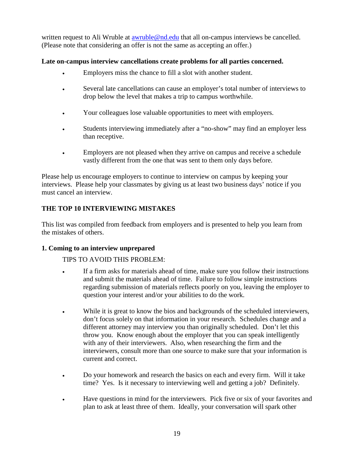written request to Ali Wruble at [awruble@nd.edu](mailto:awruble@nd.edu) that all on-campus interviews be cancelled. (Please note that considering an offer is not the same as accepting an offer.)

#### **Late on-campus interview cancellations create problems for all parties concerned.**

- Employers miss the chance to fill a slot with another student.
- Several late cancellations can cause an employer's total number of interviews to drop below the level that makes a trip to campus worthwhile.
- Your colleagues lose valuable opportunities to meet with employers.
- Students interviewing immediately after a "no-show" may find an employer less than receptive.
- Employers are not pleased when they arrive on campus and receive a schedule vastly different from the one that was sent to them only days before.

Please help us encourage employers to continue to interview on campus by keeping your interviews. Please help your classmates by giving us at least two business days' notice if you must cancel an interview.

# **THE TOP 10 INTERVIEWING MISTAKES**

This list was compiled from feedback from employers and is presented to help you learn from the mistakes of others.

# **1. Coming to an interview unprepared**

# TIPS TO AVOID THIS PROBLEM:

- If a firm asks for materials ahead of time, make sure you follow their instructions and submit the materials ahead of time. Failure to follow simple instructions regarding submission of materials reflects poorly on you, leaving the employer to question your interest and/or your abilities to do the work.
- While it is great to know the bios and backgrounds of the scheduled interviewers, don't focus solely on that information in your research. Schedules change and a different attorney may interview you than originally scheduled. Don't let this throw you. Know enough about the employer that you can speak intelligently with any of their interviewers. Also, when researching the firm and the interviewers, consult more than one source to make sure that your information is current and correct.
- Do your homework and research the basics on each and every firm. Will it take time? Yes. Is it necessary to interviewing well and getting a job? Definitely.
- Have questions in mind for the interviewers. Pick five or six of your favorites and plan to ask at least three of them. Ideally, your conversation will spark other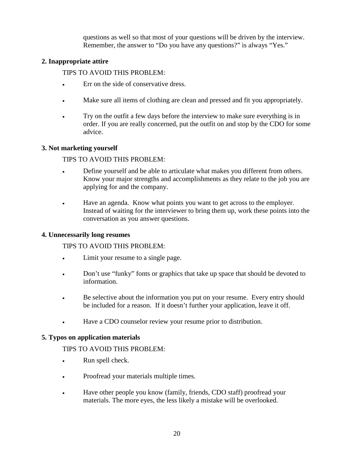questions as well so that most of your questions will be driven by the interview. Remember, the answer to "Do you have any questions?" is always "Yes."

#### **2. Inappropriate attire**

TIPS TO AVOID THIS PROBLEM:

- Err on the side of conservative dress.
- Make sure all items of clothing are clean and pressed and fit you appropriately.
- Try on the outfit a few days before the interview to make sure everything is in order. If you are really concerned, put the outfit on and stop by the CDO for some advice.

# **3. Not marketing yourself**

TIPS TO AVOID THIS PROBLEM:

- Define yourself and be able to articulate what makes you different from others. Know your major strengths and accomplishments as they relate to the job you are applying for and the company.
- Have an agenda. Know what points you want to get across to the employer. Instead of waiting for the interviewer to bring them up, work these points into the conversation as you answer questions.

#### **4. Unnecessarily long resumes**

TIPS TO AVOID THIS PROBLEM:

- Limit your resume to a single page.
- Don't use "funky" fonts or graphics that take up space that should be devoted to information.
- Be selective about the information you put on your resume. Every entry should be included for a reason. If it doesn't further your application, leave it off.
- Have a CDO counselor review your resume prior to distribution.

#### **5. Typos on application materials**

TIPS TO AVOID THIS PROBLEM:

- Run spell check.
- Proofread your materials multiple times.
- Have other people you know (family, friends, CDO staff) proofread your materials. The more eyes, the less likely a mistake will be overlooked.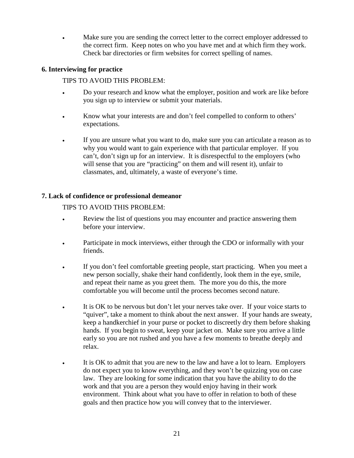• Make sure you are sending the correct letter to the correct employer addressed to the correct firm. Keep notes on who you have met and at which firm they work. Check bar directories or firm websites for correct spelling of names.

#### **6. Interviewing for practice**

#### TIPS TO AVOID THIS PROBLEM:

- Do your research and know what the employer, position and work are like before you sign up to interview or submit your materials.
- Know what your interests are and don't feel compelled to conform to others' expectations.
- If you are unsure what you want to do, make sure you can articulate a reason as to why you would want to gain experience with that particular employer. If you can't, don't sign up for an interview. It is disrespectful to the employers (who will sense that you are "practicing" on them and will resent it), unfair to classmates, and, ultimately, a waste of everyone's time.

# **7. Lack of confidence or professional demeanor**

# TIPS TO AVOID THIS PROBLEM:

- Review the list of questions you may encounter and practice answering them before your interview.
- Participate in mock interviews, either through the CDO or informally with your friends.
- If you don't feel comfortable greeting people, start practicing. When you meet a new person socially, shake their hand confidently, look them in the eye, smile, and repeat their name as you greet them. The more you do this, the more comfortable you will become until the process becomes second nature.
- It is OK to be nervous but don't let your nerves take over. If your voice starts to "quiver", take a moment to think about the next answer. If your hands are sweaty, keep a handkerchief in your purse or pocket to discreetly dry them before shaking hands. If you begin to sweat, keep your jacket on. Make sure you arrive a little early so you are not rushed and you have a few moments to breathe deeply and relax.
- It is OK to admit that you are new to the law and have a lot to learn. Employers do not expect you to know everything, and they won't be quizzing you on case law. They are looking for some indication that you have the ability to do the work and that you are a person they would enjoy having in their work environment. Think about what you have to offer in relation to both of these goals and then practice how you will convey that to the interviewer.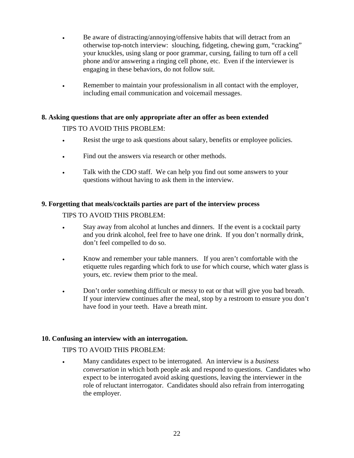- Be aware of distracting/annoying/offensive habits that will detract from an otherwise top-notch interview: slouching, fidgeting, chewing gum, "cracking" your knuckles, using slang or poor grammar, cursing, failing to turn off a cell phone and/or answering a ringing cell phone, etc. Even if the interviewer is engaging in these behaviors, do not follow suit.
- Remember to maintain your professionalism in all contact with the employer, including email communication and voicemail messages.

#### **8. Asking questions that are only appropriate after an offer as been extended**

#### TIPS TO AVOID THIS PROBLEM:

- Resist the urge to ask questions about salary, benefits or employee policies.
- Find out the answers via research or other methods.
- Talk with the CDO staff. We can help you find out some answers to your questions without having to ask them in the interview.

#### **9. Forgetting that meals/cocktails parties are part of the interview process**

#### TIPS TO AVOID THIS PROBLEM:

- Stay away from alcohol at lunches and dinners. If the event is a cocktail party and you drink alcohol, feel free to have one drink. If you don't normally drink, don't feel compelled to do so.
- Know and remember your table manners. If you aren't comfortable with the etiquette rules regarding which fork to use for which course, which water glass is yours, etc. review them prior to the meal.
- Don't order something difficult or messy to eat or that will give you bad breath. If your interview continues after the meal, stop by a restroom to ensure you don't have food in your teeth. Have a breath mint.

#### **10. Confusing an interview with an interrogation.**

#### TIPS TO AVOID THIS PROBLEM:

• Many candidates expect to be interrogated. An interview is a *business conversation* in which both people ask and respond to questions. Candidates who expect to be interrogated avoid asking questions, leaving the interviewer in the role of reluctant interrogator. Candidates should also refrain from interrogating the employer.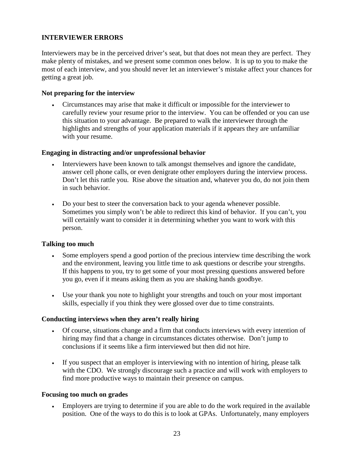#### **INTERVIEWER ERRORS**

Interviewers may be in the perceived driver's seat, but that does not mean they are perfect. They make plenty of mistakes, and we present some common ones below. It is up to you to make the most of each interview, and you should never let an interviewer's mistake affect your chances for getting a great job.

#### **Not preparing for the interview**

• Circumstances may arise that make it difficult or impossible for the interviewer to carefully review your resume prior to the interview. You can be offended or you can use this situation to your advantage. Be prepared to walk the interviewer through the highlights and strengths of your application materials if it appears they are unfamiliar with your resume.

#### **Engaging in distracting and/or unprofessional behavior**

- Interviewers have been known to talk amongst themselves and ignore the candidate, answer cell phone calls, or even denigrate other employers during the interview process. Don't let this rattle you. Rise above the situation and, whatever you do, do not join them in such behavior.
- Do your best to steer the conversation back to your agenda whenever possible. Sometimes you simply won't be able to redirect this kind of behavior. If you can't, you will certainly want to consider it in determining whether you want to work with this person.

#### **Talking too much**

- Some employers spend a good portion of the precious interview time describing the work and the environment, leaving you little time to ask questions or describe your strengths. If this happens to you, try to get some of your most pressing questions answered before you go, even if it means asking them as you are shaking hands goodbye.
- Use your thank you note to highlight your strengths and touch on your most important skills, especially if you think they were glossed over due to time constraints.

#### **Conducting interviews when they aren't really hiring**

- Of course, situations change and a firm that conducts interviews with every intention of hiring may find that a change in circumstances dictates otherwise. Don't jump to conclusions if it seems like a firm interviewed but then did not hire.
- If you suspect that an employer is interviewing with no intention of hiring, please talk with the CDO. We strongly discourage such a practice and will work with employers to find more productive ways to maintain their presence on campus.

#### **Focusing too much on grades**

• Employers are trying to determine if you are able to do the work required in the available position. One of the ways to do this is to look at GPAs. Unfortunately, many employers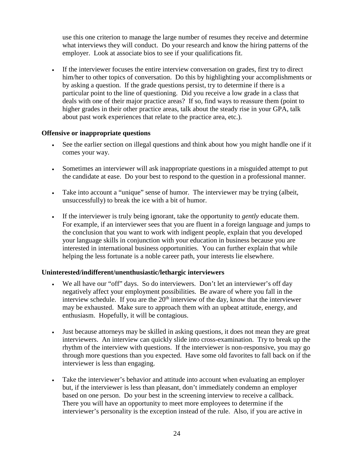use this one criterion to manage the large number of resumes they receive and determine what interviews they will conduct. Do your research and know the hiring patterns of the employer. Look at associate bios to see if your qualifications fit.

• If the interviewer focuses the entire interview conversation on grades, first try to direct him/her to other topics of conversation. Do this by highlighting your accomplishments or by asking a question. If the grade questions persist, try to determine if there is a particular point to the line of questioning. Did you receive a low grade in a class that deals with one of their major practice areas? If so, find ways to reassure them (point to higher grades in their other practice areas, talk about the steady rise in your GPA, talk about past work experiences that relate to the practice area, etc.).

#### **Offensive or inappropriate questions**

- See the earlier section on illegal questions and think about how you might handle one if it comes your way.
- Sometimes an interviewer will ask inappropriate questions in a misguided attempt to put the candidate at ease. Do your best to respond to the question in a professional manner.
- Take into account a "unique" sense of humor. The interviewer may be trying (albeit, unsuccessfully) to break the ice with a bit of humor.
- If the interviewer is truly being ignorant, take the opportunity to *gently* educate them. For example, if an interviewer sees that you are fluent in a foreign language and jumps to the conclusion that you want to work with indigent people, explain that you developed your language skills in conjunction with your education in business because you are interested in international business opportunities. You can further explain that while helping the less fortunate is a noble career path, your interests lie elsewhere.

#### **Uninterested/indifferent/unenthusiastic/lethargic interviewers**

- We all have our "off" days. So do interviewers. Don't let an interviewer's off day negatively affect your employment possibilities. Be aware of where you fall in the interview schedule. If you are the  $20<sup>th</sup>$  interview of the day, know that the interviewer may be exhausted. Make sure to approach them with an upbeat attitude, energy, and enthusiasm. Hopefully, it will be contagious.
- Just because attorneys may be skilled in asking questions, it does not mean they are great interviewers. An interview can quickly slide into cross-examination. Try to break up the rhythm of the interview with questions. If the interviewer is non-responsive, you may go through more questions than you expected. Have some old favorites to fall back on if the interviewer is less than engaging.
- Take the interviewer's behavior and attitude into account when evaluating an employer but, if the interviewer is less than pleasant, don't immediately condemn an employer based on one person. Do your best in the screening interview to receive a callback. There you will have an opportunity to meet more employees to determine if the interviewer's personality is the exception instead of the rule. Also, if you are active in